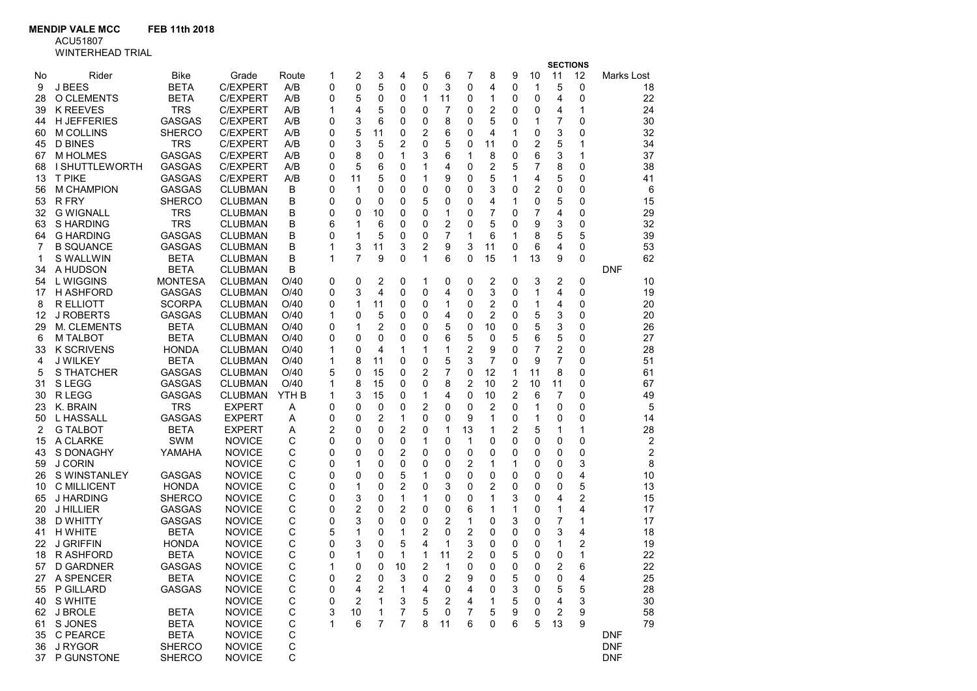MENDIP VALE MCC FEB 11th 2018

ACU51807

| <b>WINTERHEAD TRIA</b> |  |  |  |  |
|------------------------|--|--|--|--|
|                        |  |  |  |  |

|    | WINTERHEAD TRIAL                     |                             |                 |                  |   |                |                         |                |                |    |        |                |                |    |                 |             |            |          |
|----|--------------------------------------|-----------------------------|-----------------|------------------|---|----------------|-------------------------|----------------|----------------|----|--------|----------------|----------------|----|-----------------|-------------|------------|----------|
|    |                                      |                             |                 |                  |   |                |                         |                |                |    |        |                |                |    | <b>SECTIONS</b> |             |            |          |
| No | Rider                                | Bike                        | Grade           | Route            | 1 | 2              | 3                       | 4              | 5              | 6  | 7      | 8              | 9              | 10 | 11              | 12          | Marks Lost |          |
| 9  | J BEES                               | <b>BETA</b>                 | <b>C/EXPERT</b> | A/B              | 0 | 0              | 5                       | 0              | 0              | 3  | 0      | 4              | 0              | 1  | 5               | 0           |            | 18       |
| 28 | O CLEMENTS                           | <b>BETA</b>                 | <b>C/EXPERT</b> | A/B              | 0 | 5              | 0                       | 0              | 1              | 11 | 0      | $\mathbf 1$    | 0              | 0  | 4               | $\mathbf 0$ |            | 22       |
| 39 | <b>K REEVES</b>                      | <b>TRS</b>                  | C/EXPERT        | A/B              | 1 | 4              | 5                       | 0              | 0              | 7  | 0      | $\overline{2}$ | 0              | 0  | 4               | 1           |            | 24       |
| 44 | <b>H JEFFERIES</b>                   | GASGAS                      | C/EXPERT        | A/B              | 0 | 3              | 6                       | 0              | 0              | 8  | 0      | 5              | 0              | 1  | 7               | $\mathbf 0$ |            | 30       |
| 60 | M COLLINS                            | <b>SHERCO</b>               | <b>C/EXPERT</b> | A/B              | 0 | 5              | 11                      | 0              | 2              | 6  | 0      | 4              | 1              | 0  | 3               | 0           |            | 32       |
| 45 | <b>D BINES</b>                       | <b>TRS</b>                  | <b>C/EXPERT</b> | A/B              | 0 | 3              | 5                       | 2              | 0              | 5  | 0      | 11             | 0              | 2  | 5               | 1           |            | 34       |
| 67 | <b>M HOLMES</b>                      | <b>GASGAS</b>               | <b>C/EXPERT</b> | A/B              | 0 | 8              | 0                       | 1              | 3              | 6  | 1      | 8              | 0              | 6  | 3               | 1           |            | 37       |
| 68 | <b>I SHUTTLEWORTH</b>                | <b>GASGAS</b>               | <b>C/EXPERT</b> | A/B              | 0 | 5              | 6                       | 0              | 1              | 4  | 0      | 2              | 5              | 7  | 8               | 0           |            | 38       |
| 13 | <b>T PIKE</b>                        | <b>GASGAS</b>               | <b>C/EXPERT</b> | A/B              | 0 | 11             | 5                       | 0              | 1              | 9  | 0      | 5              | 1              | 4  | 5               | 0           |            | 41       |
| 56 | <b>M CHAMPION</b>                    | <b>GASGAS</b>               | <b>CLUBMAN</b>  | B                | 0 | 1              | 0                       | 0              | 0              | 0  | 0      | 3              | 0              | 2  | 0               | 0           |            | 6        |
| 53 | R FRY                                | <b>SHERCO</b>               | <b>CLUBMAN</b>  | В                | 0 | 0              | 0                       | 0              | 5              | 0  | 0      | 4              | 1              | 0  | 5               | 0           |            | 15       |
| 32 | <b>G WIGNALL</b>                     | <b>TRS</b>                  | <b>CLUBMAN</b>  | В                | 0 | 0              | 10                      | 0              | 0              | 1  | 0      | 7              | 0              | 7  | 4               | 0           |            | 29       |
| 63 | S HARDING                            | <b>TRS</b>                  | <b>CLUBMAN</b>  | В                | 6 | 1              | 6                       | 0              | 0              | 2  | 0      | 5              | 0              | 9  | 3               | 0           |            | 32       |
| 64 | <b>G HARDING</b>                     | <b>GASGAS</b>               | <b>CLUBMAN</b>  | B                | 0 | 1              | 5                       | 0              | 0              | 7  | 1      | 6              | 1              | 8  | 5               | 5           |            | 39       |
| 7  | <b>B SQUANCE</b>                     | <b>GASGAS</b>               | <b>CLUBMAN</b>  | B                | 1 | 3              | 11                      | 3              | $\overline{2}$ | 9  | 3      | 11             | 0              | 6  | 4               | 0           |            | 53       |
| 1  | S WALLWIN                            | <b>BETA</b>                 | <b>CLUBMAN</b>  | B                | 1 | $\overline{7}$ | 9                       | 0              | $\mathbf{1}$   | 6  | 0      | 15             | $\mathbf{1}$   | 13 | 9               | $\mathbf 0$ |            | 62       |
| 34 | A HUDSON                             | <b>BETA</b>                 | <b>CLUBMAN</b>  | B                |   |                |                         |                |                |    |        |                |                |    |                 |             | <b>DNF</b> |          |
| 54 | L WIGGINS                            | <b>MONTESA</b>              | <b>CLUBMAN</b>  | O/40             | 0 | 0              | 2                       | 0              | 1              | 0  | 0      | $\overline{c}$ | 0              | 3  | 2               | 0           |            | 10       |
| 17 | H ASHFORD                            | <b>GASGAS</b>               | <b>CLUBMAN</b>  | O/40             | 0 | 3              | $\overline{\mathbf{4}}$ | 0              | 0              | 4  | 0      | 3              | 0              | 1  | 4               | 0           |            | 19       |
| 8  | <b>R ELLIOTT</b>                     | <b>SCORPA</b>               | <b>CLUBMAN</b>  | O/40             | 0 | 1              | 11                      | 0              | 0              | 1  | 0      | 2              | 0              | 1  | 4               | 0           |            | 20       |
| 12 | <b>J ROBERTS</b>                     | <b>GASGAS</b>               | <b>CLUBMAN</b>  | O/40             | 1 | 0              | 5                       | 0              | 0              | 4  | 0      | $\overline{2}$ | 0              | 5  | 3               | 0           |            | 20       |
| 29 | M. CLEMENTS                          | <b>BETA</b>                 | <b>CLUBMAN</b>  | O/40             | 0 | 1              | 2                       | 0              | 0              | 5  | 0      | 10             | 0              | 5  | 3               | 0           |            | 26       |
|    | <b>M TALBOT</b>                      | <b>BETA</b>                 | <b>CLUBMAN</b>  | O/40             | 0 | 0              | 0                       | 0              | 0              | 6  | 5      | 0              | 5              | 6  | 5               | 0           |            | 27       |
| 6  |                                      |                             | <b>CLUBMAN</b>  |                  | 1 | 0              | 4                       |                | 1              | 1  |        | 9              | 0              | 7  | 2               | 0           |            |          |
| 33 | <b>K SCRIVENS</b><br><b>J WILKEY</b> | <b>HONDA</b><br><b>BETA</b> |                 | O/40<br>O/40     | 1 | 8              | 11                      | 1              | 0              | 5  | 2<br>3 | 7              | 0              | 9  | $\overline{7}$  |             |            | 28<br>51 |
| 4  |                                      |                             | <b>CLUBMAN</b>  |                  |   |                |                         | 0              |                |    |        |                |                |    |                 | 0           |            |          |
| 5  | S THATCHER                           | <b>GASGAS</b>               | <b>CLUBMAN</b>  | O/40             | 5 | 0              | 15                      | 0              | 2              | 7  | 0      | 12             | 1              | 11 | 8               | 0           |            | 61       |
| 31 | S LEGG                               | <b>GASGAS</b>               | <b>CLUBMAN</b>  | O/40             | 1 | 8              | 15                      | 0              | 0              | 8  | 2      | 10             | $\overline{2}$ | 10 | 11              | 0           |            | 67       |
| 30 | R LEGG                               | <b>GASGAS</b>               | <b>CLUBMAN</b>  | YTH <sub>B</sub> | 1 | 3              | 15                      | 0              | 1              | 4  | 0      | 10             | $\overline{2}$ | 6  | 7               | 0           |            | 49       |
| 23 | K. BRAIN                             | TRS                         | <b>EXPERT</b>   | Α                | 0 | 0              | 0                       | 0              | $\overline{c}$ | 0  | 0      | 2              | 0              | 1  | 0               | 0           |            | 5        |
| 50 | L HASSALL                            | <b>GASGAS</b>               | <b>EXPERT</b>   | Α                | 0 | 0              | 2                       | 1              | 0              | 0  | 9      | 1              | 0              | 1  | 0               | 0           |            | 14       |
| 2  | <b>G TALBOT</b>                      | <b>BETA</b>                 | <b>EXPERT</b>   | Α                | 2 | 0              | 0                       | 2              | 0              | 1  | 13     | 1              | 2              | 5  | 1               | 1           |            | 28       |
| 15 | A CLARKE                             | SWM                         | <b>NOVICE</b>   | С                | 0 | 0              | 0                       | 0              | 1              | 0  | 1      | 0              | 0              | 0  | 0               | 0           |            | 2        |
| 43 | S DONAGHY                            | YAMAHA                      | <b>NOVICE</b>   | С                | 0 | 0              | 0                       | 2              | 0              | 0  | 0      | 0              | 0              | 0  | 0               | 0           |            | 2        |
| 59 | <b>J CORIN</b>                       |                             | <b>NOVICE</b>   | С                | 0 | 1              | 0                       | 0              | 0              | 0  | 2      | 1              | 1              | 0  | 0               | 3           |            | 8        |
| 26 | S WINSTANLEY                         | <b>GASGAS</b>               | <b>NOVICE</b>   | С                | 0 | 0              | 0                       | 5              | 1              | 0  | 0      | 0              | 0              | 0  | 0               | 4           |            | 10       |
| 10 | <b>C MILLICENT</b>                   | <b>HONDA</b>                | <b>NOVICE</b>   | С                | 0 | 1              | 0                       | 2              | 0              | 3  | 0      | 2              | 0              | 0  | 0               | 5           |            | 13       |
| 65 | J HARDING                            | <b>SHERCO</b>               | <b>NOVICE</b>   | С                | 0 | 3              | 0                       | 1              | 1              | 0  | 0      | 1              | 3              | 0  | 4               | 2           |            | 15       |
| 20 | J HILLIER                            | <b>GASGAS</b>               | <b>NOVICE</b>   | С                | 0 | 2              | 0                       | 2              | 0              | 0  | 6      | 1              | 1              | 0  | 1               | 4           |            | 17       |
| 38 | <b>D WHITTY</b>                      | <b>GASGAS</b>               | <b>NOVICE</b>   | C                | 0 | 3              | 0                       | 0              | 0              | 2  | 1      | 0              | 3              | 0  | $\overline{7}$  | 1           |            | 17       |
| 41 | H WHITE                              | <b>BETA</b>                 | <b>NOVICE</b>   | С                | 5 | 1              | 0                       | 1              | 2              | 0  | 2      | 0              | 0              | 0  | 3               | 4           |            | 18       |
| 22 | <b>J GRIFFIN</b>                     | <b>HONDA</b>                | <b>NOVICE</b>   | С                | 0 | 3              | 0                       | 5              | 4              | 1  | 3      | 0              | 0              | 0  | 1               | 2           |            | 19       |
| 18 | R ASHFORD                            | <b>BETA</b>                 | <b>NOVICE</b>   | С                | 0 | 1              | 0                       | 1              | $\mathbf{1}$   | 11 | 2      | 0              | 5              | 0  | 0               | 1           |            | 22       |
| 57 | D GARDNER                            | GASGAS                      | <b>NOVICE</b>   | C                | 1 | 0              | 0                       | 10             | 2              | 1  | 0      | $\mathbf{0}$   | $\mathbf{0}$   | 0  | 2               | 6           |            | 22       |
| 27 | A SPENCER                            | <b>BETA</b>                 | <b>NOVICE</b>   | C                | 0 | 2              | 0                       | 3              | 0              | 2  | 9      | 0              | 5              | 0  | 0               | 4           |            | 25       |
| 55 | P GILLARD                            | GASGAS                      | <b>NOVICE</b>   | С                | 0 | 4              | 2                       | 1              | 4              | 0  | 4      | 0              | 3              | 0  | 5               | 5           |            | 28       |
| 40 | S WHITE                              |                             | <b>NOVICE</b>   | С                | 0 | 2              | $\mathbf{1}$            | 3              | 5              | 2  | 4      | 1              | 5              | 0  | 4               | 3           |            | 30       |
| 62 | J BROLE                              | <b>BETA</b>                 | <b>NOVICE</b>   | С                | 3 | 10             | 1                       | 7              | 5              | 0  | 7      | 5              | 9              | 0  | 2               | 9           |            | 58       |
| 61 | S JONES                              | <b>BETA</b>                 | <b>NOVICE</b>   | С                | 1 | 6              | 7                       | $\overline{7}$ | 8              | 11 | 6      | $\mathbf{0}$   | 6              | 5  | 13              | 9           |            | 79       |
| 35 | C PEARCE                             | <b>BETA</b>                 | <b>NOVICE</b>   | C                |   |                |                         |                |                |    |        |                |                |    |                 |             | <b>DNF</b> |          |
| 36 | J RYGOR                              | <b>SHERCO</b>               | <b>NOVICE</b>   | $\mathsf C$      |   |                |                         |                |                |    |        |                |                |    |                 |             | <b>DNF</b> |          |
| 37 | P GUNSTONE                           | <b>SHERCO</b>               | <b>NOVICE</b>   | C                |   |                |                         |                |                |    |        |                |                |    |                 |             | <b>DNF</b> |          |
|    |                                      |                             |                 |                  |   |                |                         |                |                |    |        |                |                |    |                 |             |            |          |